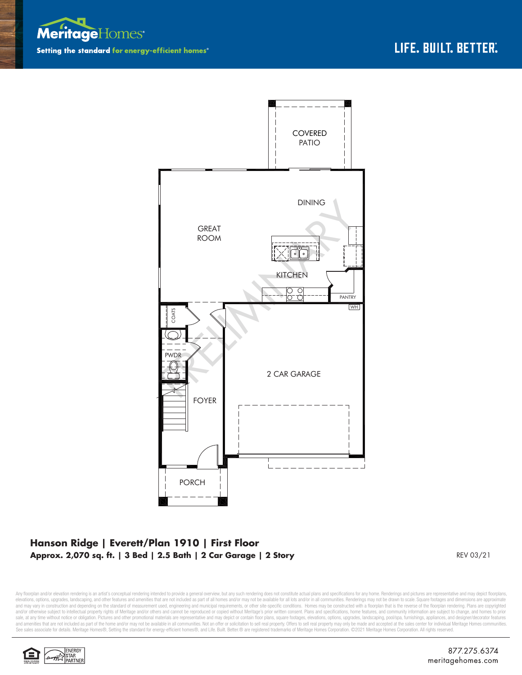



## **Hanson Ridge | Everett/Plan 1910 | First Floor Approx. 2,070 sq. ft. | 3 Bed | 2.5 Bath | 2 Car Garage | 2 Story** REV 03/21

Any floorplan and/or elevation rendering is an artist's conceptual rendering intended to provide a general overview, but any such rendering does not constitute actual plans and specifications for any home. Renderings and p elevations, options, upgrades, landscaping, and other features and amenities that are not included as part of all homes and/or may not be available for all lots and/or in all communities. Renderings may not be drawn to sca and may vary in construction and depending on the standard of measurement used, engineering and municipal requirements, or other site-specific conditions. Homes may be constructed with a floorplan that is the reverse of th and/or otherwise subject to intellectual property rights of Meritage and/or others and cannot be reproduced or copied without Meritage's prior written consent. Plans and specifications, home features, and community informa sale, at any time without notice or obligation. Pictures and other promotional materials are representative and may depict or contain floor plans, square footages, elevations, options, upgrades, landscaping, pool/spa, furn See sales associate for details. Meritage Homes®, Setting the standard for energy-efficient homes®, and Life. Built. Better. @ are registered trademarks of Meritage Homes Corporation. ©2021 Meritage Homes Corporation. All